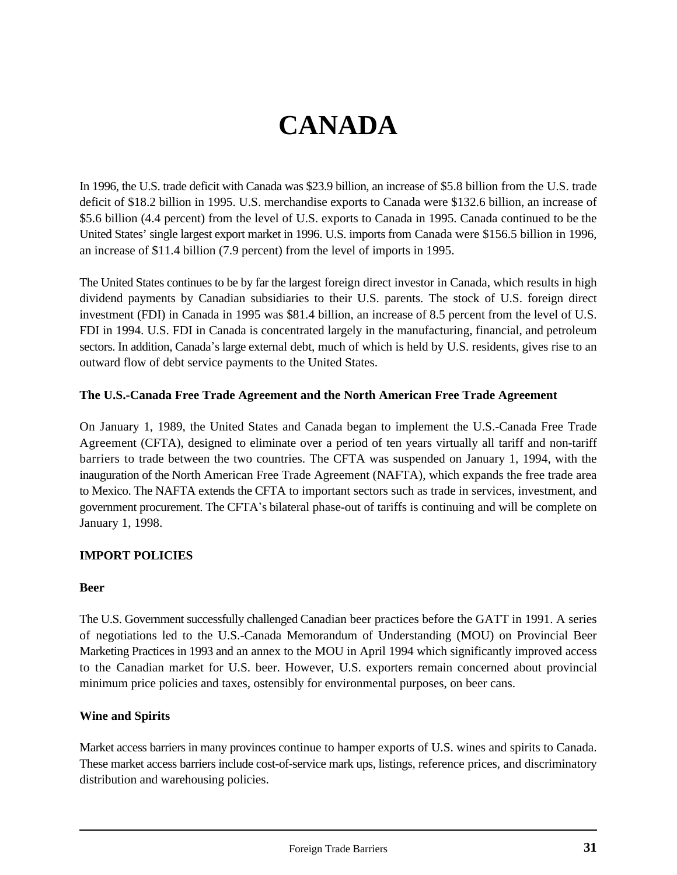# **CANADA**

In 1996, the U.S. trade deficit with Canada was \$23.9 billion, an increase of \$5.8 billion from the U.S. trade deficit of \$18.2 billion in 1995. U.S. merchandise exports to Canada were \$132.6 billion, an increase of \$5.6 billion (4.4 percent) from the level of U.S. exports to Canada in 1995. Canada continued to be the United States' single largest export market in 1996. U.S. imports from Canada were \$156.5 billion in 1996, an increase of \$11.4 billion (7.9 percent) from the level of imports in 1995.

The United States continues to be by far the largest foreign direct investor in Canada, which results in high dividend payments by Canadian subsidiaries to their U.S. parents. The stock of U.S. foreign direct investment (FDI) in Canada in 1995 was \$81.4 billion, an increase of 8.5 percent from the level of U.S. FDI in 1994. U.S. FDI in Canada is concentrated largely in the manufacturing, financial, and petroleum sectors. In addition, Canada's large external debt, much of which is held by U.S. residents, gives rise to an outward flow of debt service payments to the United States.

#### **The U.S.-Canada Free Trade Agreement and the North American Free Trade Agreement**

On January 1, 1989, the United States and Canada began to implement the U.S.-Canada Free Trade Agreement (CFTA), designed to eliminate over a period of ten years virtually all tariff and non-tariff barriers to trade between the two countries. The CFTA was suspended on January 1, 1994, with the inauguration of the North American Free Trade Agreement (NAFTA), which expands the free trade area to Mexico. The NAFTA extends the CFTA to important sectors such as trade in services, investment, and government procurement. The CFTA\*s bilateral phase-out of tariffs is continuing and will be complete on January 1, 1998.

#### **IMPORT POLICIES**

#### **Beer**

The U.S. Government successfully challenged Canadian beer practices before the GATT in 1991. A series of negotiations led to the U.S.-Canada Memorandum of Understanding (MOU) on Provincial Beer Marketing Practices in 1993 and an annex to the MOU in April 1994 which significantly improved access to the Canadian market for U.S. beer. However, U.S. exporters remain concerned about provincial minimum price policies and taxes, ostensibly for environmental purposes, on beer cans.

#### **Wine and Spirits**

Market access barriers in many provinces continue to hamper exports of U.S. wines and spirits to Canada. These market access barriers include cost-of-service mark ups, listings, reference prices, and discriminatory distribution and warehousing policies.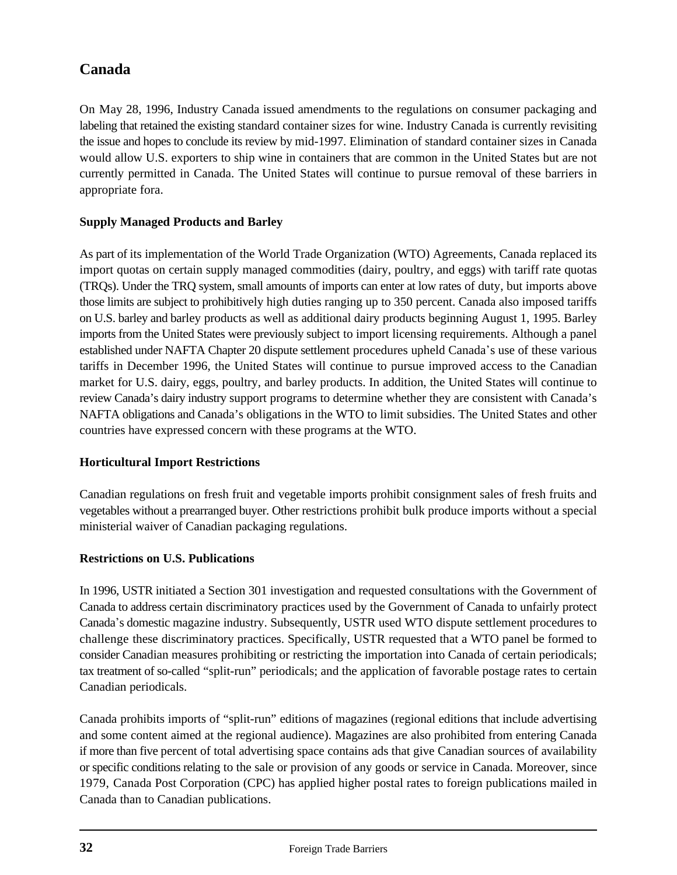On May 28, 1996, Industry Canada issued amendments to the regulations on consumer packaging and labeling that retained the existing standard container sizes for wine. Industry Canada is currently revisiting the issue and hopes to conclude its review by mid-1997. Elimination of standard container sizes in Canada would allow U.S. exporters to ship wine in containers that are common in the United States but are not currently permitted in Canada. The United States will continue to pursue removal of these barriers in appropriate fora.

# **Supply Managed Products and Barley**

As part of its implementation of the World Trade Organization (WTO) Agreements, Canada replaced its import quotas on certain supply managed commodities (dairy, poultry, and eggs) with tariff rate quotas (TRQs). Under the TRQ system, small amounts of imports can enter at low rates of duty, but imports above those limits are subject to prohibitively high duties ranging up to 350 percent. Canada also imposed tariffs on U.S. barley and barley products as well as additional dairy products beginning August 1, 1995. Barley imports from the United States were previously subject to import licensing requirements. Although a panel established under NAFTA Chapter 20 dispute settlement procedures upheld Canada's use of these various tariffs in December 1996, the United States will continue to pursue improved access to the Canadian market for U.S. dairy, eggs, poultry, and barley products. In addition, the United States will continue to review Canada's dairy industry support programs to determine whether they are consistent with Canada's NAFTA obligations and Canada's obligations in the WTO to limit subsidies. The United States and other countries have expressed concern with these programs at the WTO.

# **Horticultural Import Restrictions**

Canadian regulations on fresh fruit and vegetable imports prohibit consignment sales of fresh fruits and vegetables without a prearranged buyer. Other restrictions prohibit bulk produce imports without a special ministerial waiver of Canadian packaging regulations.

# **Restrictions on U.S. Publications**

In 1996, USTR initiated a Section 301 investigation and requested consultations with the Government of Canada to address certain discriminatory practices used by the Government of Canada to unfairly protect Canada\*s domestic magazine industry. Subsequently, USTR used WTO dispute settlement procedures to challenge these discriminatory practices. Specifically, USTR requested that a WTO panel be formed to consider Canadian measures prohibiting or restricting the importation into Canada of certain periodicals; tax treatment of so-called "split-run" periodicals; and the application of favorable postage rates to certain Canadian periodicals.

Canada prohibits imports of "split-run" editions of magazines (regional editions that include advertising and some content aimed at the regional audience). Magazines are also prohibited from entering Canada if more than five percent of total advertising space contains ads that give Canadian sources of availability or specific conditions relating to the sale or provision of any goods or service in Canada. Moreover, since 1979, Canada Post Corporation (CPC) has applied higher postal rates to foreign publications mailed in Canada than to Canadian publications.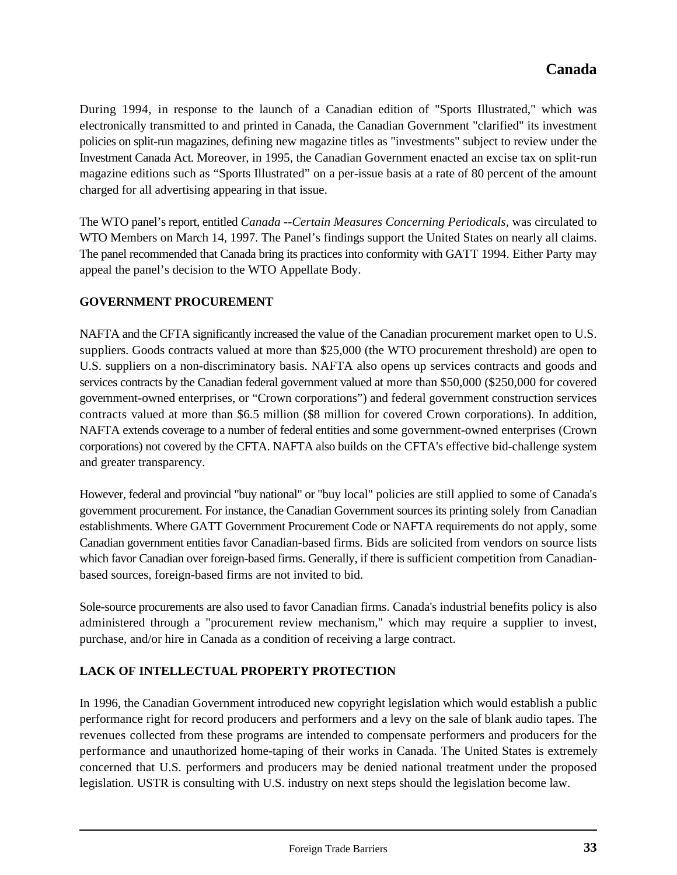During 1994, in response to the launch of a Canadian edition of "Sports Illustrated," which was electronically transmitted to and printed in Canada, the Canadian Government "clarified" its investment policies on split-run magazines, defining new magazine titles as "investments" subject to review under the Investment Canada Act. Moreover, in 1995, the Canadian Government enacted an excise tax on split-run magazine editions such as "Sports Illustrated" on a per-issue basis at a rate of 80 percent of the amount charged for all advertising appearing in that issue.

The WTO panel's report, entitled *Canada --Certain Measures Concerning Periodicals,* was circulated to WTO Members on March 14, 1997. The Panel's findings support the United States on nearly all claims. The panel recommended that Canada bring its practices into conformity with GATT 1994. Either Party may appeal the panel's decision to the WTO Appellate Body.

# **GOVERNMENT PROCUREMENT**

NAFTA and the CFTA significantly increased the value of the Canadian procurement market open to U.S. suppliers. Goods contracts valued at more than \$25,000 (the WTO procurement threshold) are open to U.S. suppliers on a non-discriminatory basis. NAFTA also opens up services contracts and goods and services contracts by the Canadian federal government valued at more than \$50,000 (\$250,000 for covered government-owned enterprises, or "Crown corporations") and federal government construction services contracts valued at more than \$6.5 million (\$8 million for covered Crown corporations). In addition, NAFTA extends coverage to a number of federal entities and some government-owned enterprises (Crown corporations) not covered by the CFTA. NAFTA also builds on the CFTA's effective bid-challenge system and greater transparency.

However, federal and provincial "buy national" or "buy local" policies are still applied to some of Canada's government procurement. For instance, the Canadian Government sources its printing solely from Canadian establishments. Where GATT Government Procurement Code or NAFTA requirements do not apply, some Canadian government entities favor Canadian-based firms. Bids are solicited from vendors on source lists which favor Canadian over foreign-based firms. Generally, if there is sufficient competition from Canadianbased sources, foreign-based firms are not invited to bid.

Sole-source procurements are also used to favor Canadian firms. Canada's industrial benefits policy is also administered through a "procurement review mechanism," which may require a supplier to invest, purchase, and/or hire in Canada as a condition of receiving a large contract.

# **LACK OF INTELLECTUAL PROPERTY PROTECTION**

In 1996, the Canadian Government introduced new copyright legislation which would establish a public performance right for record producers and performers and a levy on the sale of blank audio tapes. The revenues collected from these programs are intended to compensate performers and producers for the performance and unauthorized home-taping of their works in Canada. The United States is extremely concerned that U.S. performers and producers may be denied national treatment under the proposed legislation. USTR is consulting with U.S. industry on next steps should the legislation become law.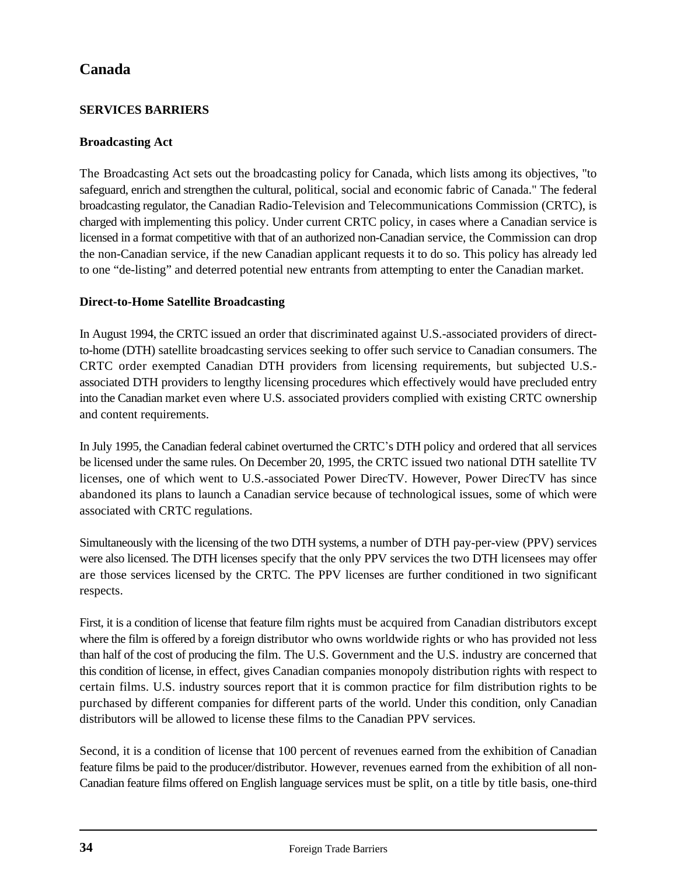# **SERVICES BARRIERS**

# **Broadcasting Act**

The Broadcasting Act sets out the broadcasting policy for Canada, which lists among its objectives, "to safeguard, enrich and strengthen the cultural, political, social and economic fabric of Canada." The federal broadcasting regulator, the Canadian Radio-Television and Telecommunications Commission (CRTC), is charged with implementing this policy. Under current CRTC policy, in cases where a Canadian service is licensed in a format competitive with that of an authorized non-Canadian service, the Commission can drop the non-Canadian service, if the new Canadian applicant requests it to do so. This policy has already led to one "de-listing" and deterred potential new entrants from attempting to enter the Canadian market.

# **Direct-to-Home Satellite Broadcasting**

In August 1994, the CRTC issued an order that discriminated against U.S.-associated providers of directto-home (DTH) satellite broadcasting services seeking to offer such service to Canadian consumers. The CRTC order exempted Canadian DTH providers from licensing requirements, but subjected U.S. associated DTH providers to lengthy licensing procedures which effectively would have precluded entry into the Canadian market even where U.S. associated providers complied with existing CRTC ownership and content requirements.

In July 1995, the Canadian federal cabinet overturned the CRTC\*s DTH policy and ordered that all services be licensed under the same rules. On December 20, 1995, the CRTC issued two national DTH satellite TV licenses, one of which went to U.S.-associated Power DirecTV. However, Power DirecTV has since abandoned its plans to launch a Canadian service because of technological issues, some of which were associated with CRTC regulations.

Simultaneously with the licensing of the two DTH systems, a number of DTH pay-per-view (PPV) services were also licensed. The DTH licenses specify that the only PPV services the two DTH licensees may offer are those services licensed by the CRTC. The PPV licenses are further conditioned in two significant respects.

First, it is a condition of license that feature film rights must be acquired from Canadian distributors except where the film is offered by a foreign distributor who owns worldwide rights or who has provided not less than half of the cost of producing the film. The U.S. Government and the U.S. industry are concerned that this condition of license, in effect, gives Canadian companies monopoly distribution rights with respect to certain films. U.S. industry sources report that it is common practice for film distribution rights to be purchased by different companies for different parts of the world. Under this condition, only Canadian distributors will be allowed to license these films to the Canadian PPV services.

Second, it is a condition of license that 100 percent of revenues earned from the exhibition of Canadian feature films be paid to the producer/distributor. However, revenues earned from the exhibition of all non-Canadian feature films offered on English language services must be split, on a title by title basis, one-third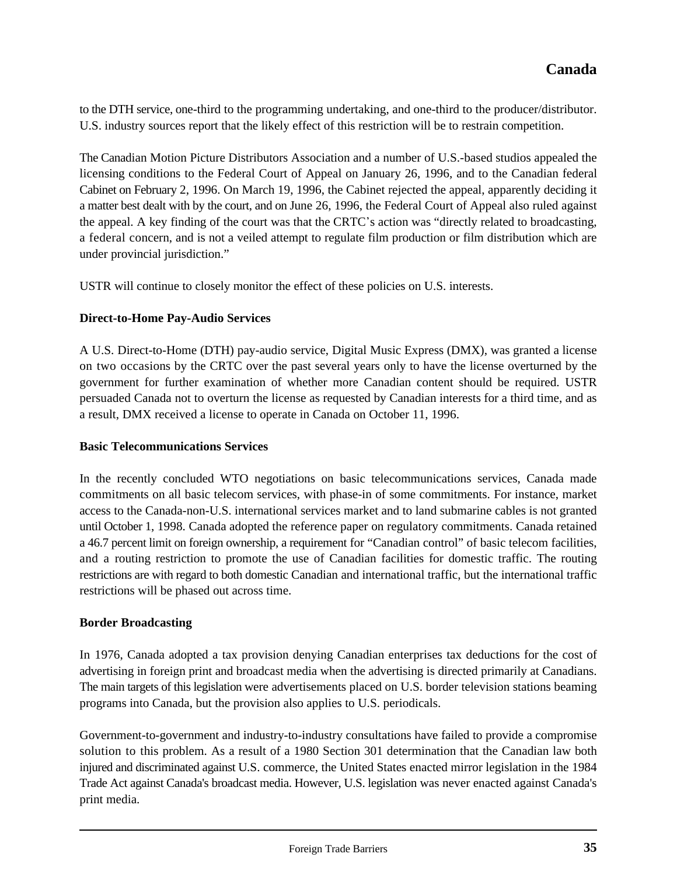to the DTH service, one-third to the programming undertaking, and one-third to the producer/distributor. U.S. industry sources report that the likely effect of this restriction will be to restrain competition.

The Canadian Motion Picture Distributors Association and a number of U.S.-based studios appealed the licensing conditions to the Federal Court of Appeal on January 26, 1996, and to the Canadian federal Cabinet on February 2, 1996. On March 19, 1996, the Cabinet rejected the appeal, apparently deciding it a matter best dealt with by the court, and on June 26, 1996, the Federal Court of Appeal also ruled against the appeal. A key finding of the court was that the CRTC's action was "directly related to broadcasting, a federal concern, and is not a veiled attempt to regulate film production or film distribution which are under provincial jurisdiction."

USTR will continue to closely monitor the effect of these policies on U.S. interests.

#### **Direct-to-Home Pay-Audio Services**

A U.S. Direct-to-Home (DTH) pay-audio service, Digital Music Express (DMX), was granted a license on two occasions by the CRTC over the past several years only to have the license overturned by the government for further examination of whether more Canadian content should be required. USTR persuaded Canada not to overturn the license as requested by Canadian interests for a third time, and as a result, DMX received a license to operate in Canada on October 11, 1996.

#### **Basic Telecommunications Services**

In the recently concluded WTO negotiations on basic telecommunications services, Canada made commitments on all basic telecom services, with phase-in of some commitments. For instance, market access to the Canada-non-U.S. international services market and to land submarine cables is not granted until October 1, 1998. Canada adopted the reference paper on regulatory commitments. Canada retained a 46.7 percent limit on foreign ownership, a requirement for "Canadian control" of basic telecom facilities, and a routing restriction to promote the use of Canadian facilities for domestic traffic. The routing restrictions are with regard to both domestic Canadian and international traffic, but the international traffic restrictions will be phased out across time.

#### **Border Broadcasting**

In 1976, Canada adopted a tax provision denying Canadian enterprises tax deductions for the cost of advertising in foreign print and broadcast media when the advertising is directed primarily at Canadians. The main targets of this legislation were advertisements placed on U.S. border television stations beaming programs into Canada, but the provision also applies to U.S. periodicals.

Government-to-government and industry-to-industry consultations have failed to provide a compromise solution to this problem. As a result of a 1980 Section 301 determination that the Canadian law both injured and discriminated against U.S. commerce, the United States enacted mirror legislation in the 1984 Trade Act against Canada's broadcast media. However, U.S. legislation was never enacted against Canada's print media.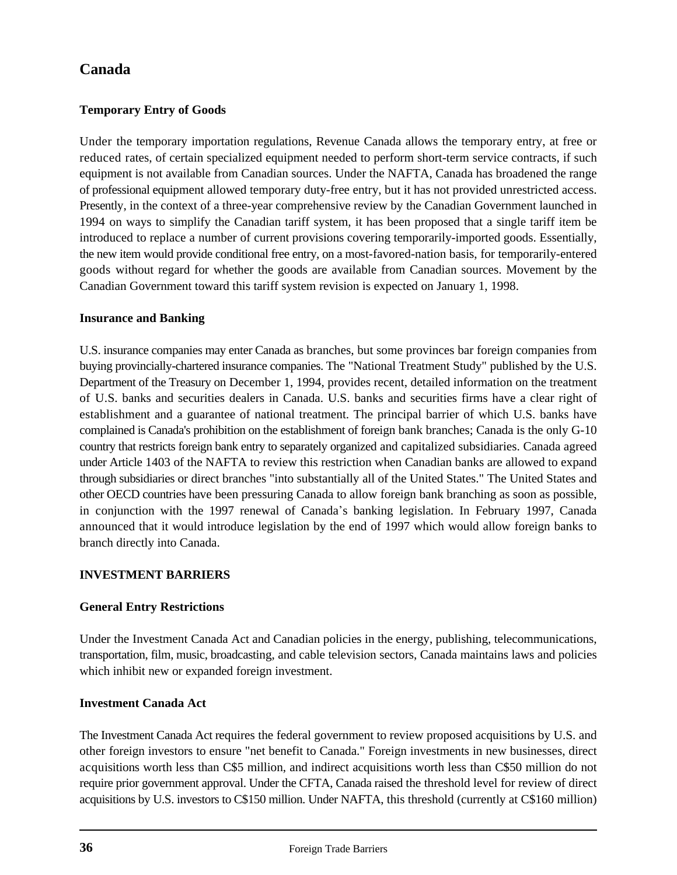# **Temporary Entry of Goods**

Under the temporary importation regulations, Revenue Canada allows the temporary entry, at free or reduced rates, of certain specialized equipment needed to perform short-term service contracts, if such equipment is not available from Canadian sources. Under the NAFTA, Canada has broadened the range of professional equipment allowed temporary duty-free entry, but it has not provided unrestricted access. Presently, in the context of a three-year comprehensive review by the Canadian Government launched in 1994 on ways to simplify the Canadian tariff system, it has been proposed that a single tariff item be introduced to replace a number of current provisions covering temporarily-imported goods. Essentially, the new item would provide conditional free entry, on a most-favored-nation basis, for temporarily-entered goods without regard for whether the goods are available from Canadian sources. Movement by the Canadian Government toward this tariff system revision is expected on January 1, 1998.

#### **Insurance and Banking**

U.S. insurance companies may enter Canada as branches, but some provinces bar foreign companies from buying provincially-chartered insurance companies. The "National Treatment Study" published by the U.S. Department of the Treasury on December 1, 1994, provides recent, detailed information on the treatment of U.S. banks and securities dealers in Canada. U.S. banks and securities firms have a clear right of establishment and a guarantee of national treatment. The principal barrier of which U.S. banks have complained is Canada's prohibition on the establishment of foreign bank branches; Canada is the only G-10 country that restricts foreign bank entry to separately organized and capitalized subsidiaries. Canada agreed under Article 1403 of the NAFTA to review this restriction when Canadian banks are allowed to expand through subsidiaries or direct branches "into substantially all of the United States." The United States and other OECD countries have been pressuring Canada to allow foreign bank branching as soon as possible, in conjunction with the 1997 renewal of Canada's banking legislation. In February 1997, Canada announced that it would introduce legislation by the end of 1997 which would allow foreign banks to branch directly into Canada.

# **INVESTMENT BARRIERS**

# **General Entry Restrictions**

Under the Investment Canada Act and Canadian policies in the energy, publishing, telecommunications, transportation, film, music, broadcasting, and cable television sectors, Canada maintains laws and policies which inhibit new or expanded foreign investment.

#### **Investment Canada Act**

The Investment Canada Act requires the federal government to review proposed acquisitions by U.S. and other foreign investors to ensure "net benefit to Canada." Foreign investments in new businesses, direct acquisitions worth less than C\$5 million, and indirect acquisitions worth less than C\$50 million do not require prior government approval. Under the CFTA, Canada raised the threshold level for review of direct acquisitions by U.S. investors to C\$150 million. Under NAFTA, this threshold (currently at C\$160 million)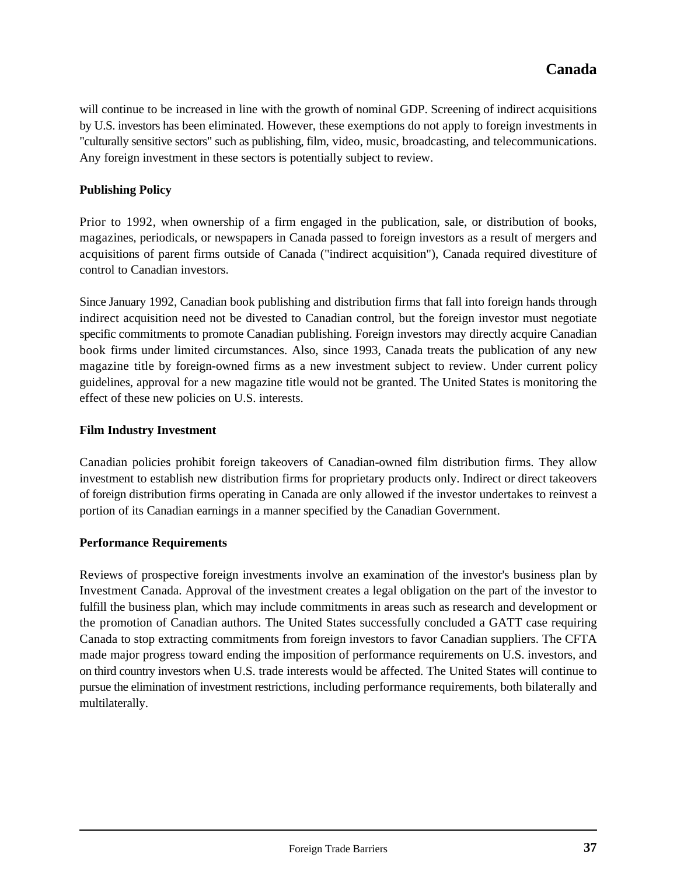will continue to be increased in line with the growth of nominal GDP. Screening of indirect acquisitions by U.S. investors has been eliminated. However, these exemptions do not apply to foreign investments in "culturally sensitive sectors" such as publishing, film, video, music, broadcasting, and telecommunications. Any foreign investment in these sectors is potentially subject to review.

#### **Publishing Policy**

Prior to 1992, when ownership of a firm engaged in the publication, sale, or distribution of books, magazines, periodicals, or newspapers in Canada passed to foreign investors as a result of mergers and acquisitions of parent firms outside of Canada ("indirect acquisition"), Canada required divestiture of control to Canadian investors.

Since January 1992, Canadian book publishing and distribution firms that fall into foreign hands through indirect acquisition need not be divested to Canadian control, but the foreign investor must negotiate specific commitments to promote Canadian publishing. Foreign investors may directly acquire Canadian book firms under limited circumstances. Also, since 1993, Canada treats the publication of any new magazine title by foreign-owned firms as a new investment subject to review. Under current policy guidelines, approval for a new magazine title would not be granted. The United States is monitoring the effect of these new policies on U.S. interests.

#### **Film Industry Investment**

Canadian policies prohibit foreign takeovers of Canadian-owned film distribution firms. They allow investment to establish new distribution firms for proprietary products only. Indirect or direct takeovers of foreign distribution firms operating in Canada are only allowed if the investor undertakes to reinvest a portion of its Canadian earnings in a manner specified by the Canadian Government.

#### **Performance Requirements**

Reviews of prospective foreign investments involve an examination of the investor's business plan by Investment Canada. Approval of the investment creates a legal obligation on the part of the investor to fulfill the business plan, which may include commitments in areas such as research and development or the promotion of Canadian authors. The United States successfully concluded a GATT case requiring Canada to stop extracting commitments from foreign investors to favor Canadian suppliers. The CFTA made major progress toward ending the imposition of performance requirements on U.S. investors, and on third country investors when U.S. trade interests would be affected. The United States will continue to pursue the elimination of investment restrictions, including performance requirements, both bilaterally and multilaterally.